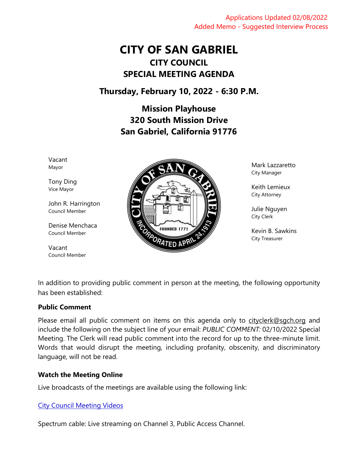Applications Updated 02/08/2022 Added Memo - Suggested Interview Process

# **CITY OF SAN GABRIEL CITY COUNCIL SPECIAL MEETING AGENDA**

## **Thursday, February 10, 2022 - 6:30 P.M.**

**Mission Playhouse 320 South Mission Drive San Gabriel, California 91776**

Vacant Mayor

Tony Ding Vice Mayor

John R. Harrington Council Member

Denise Menchaca Council Member

Vacant Council Member



Mark Lazzaretto City Manager

Keith Lemieux City Attorney

Julie Nguyen City Clerk

Kevin B. Sawkins City Treasurer

In addition to providing public comment in person at the meeting, the following opportunity has been established:

#### **Public Comment**

Please email all public comment on items on this agenda only to [cityclerk@sgch.org](mailto:cityclerk@sgch.org) and include the following on the subject line of your email: *PUBLIC COMMENT:* 02/10/2022 Special Meeting. The Clerk will read public comment into the record for up to the three-minute limit. Words that would disrupt the meeting, including profanity, obscenity, and discriminatory language, will not be read.

#### **Watch the Meeting Online**

Live broadcasts of the meetings are available using the following link:

#### [City Council Meeting Videos](https://www.youtube.com/CityofSanGabriel)

Spectrum cable: Live streaming on Channel 3, Public Access Channel.